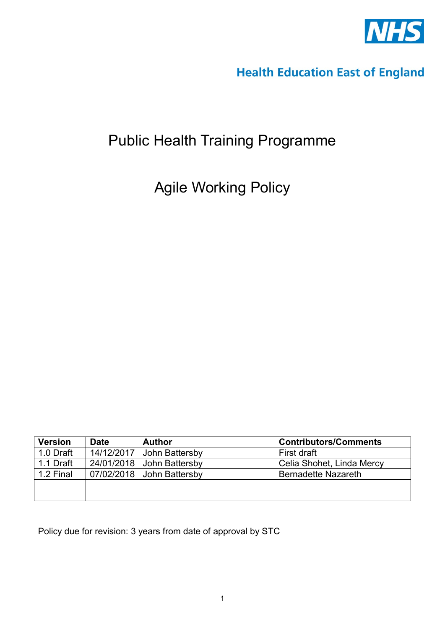

# **Health Education East of England**

# Public Health Training Programme

Agile Working Policy

| <b>Version</b> | <b>Date</b> | <b>Author</b>               | <b>Contributors/Comments</b> |
|----------------|-------------|-----------------------------|------------------------------|
| 1.0 Draft      | 14/12/2017  | John Battersby              | First draft                  |
| 1.1 Draft      |             | $24/01/2018$ John Battersby | Celia Shohet, Linda Mercy    |
| 1.2 Final      |             | 07/02/2018   John Battersby | <b>Bernadette Nazareth</b>   |
|                |             |                             |                              |
|                |             |                             |                              |

Policy due for revision: 3 years from date of approval by STC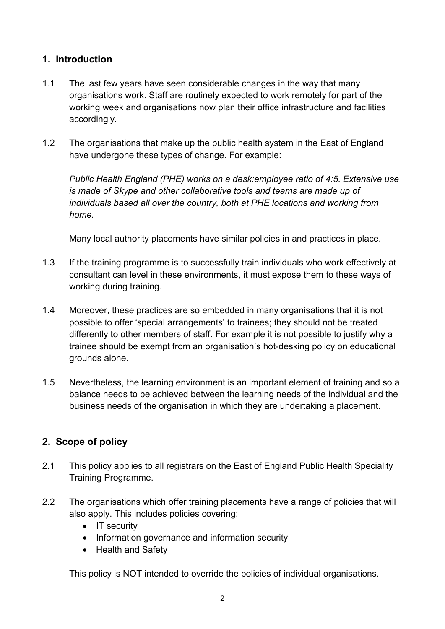## **1. Introduction**

- 1.1 The last few years have seen considerable changes in the way that many organisations work. Staff are routinely expected to work remotely for part of the working week and organisations now plan their office infrastructure and facilities accordingly.
- 1.2 The organisations that make up the public health system in the East of England have undergone these types of change. For example:

*Public Health England (PHE) works on a desk:employee ratio of 4:5. Extensive use is made of Skype and other collaborative tools and teams are made up of individuals based all over the country, both at PHE locations and working from home.*

Many local authority placements have similar policies in and practices in place.

- 1.3 If the training programme is to successfully train individuals who work effectively at consultant can level in these environments, it must expose them to these ways of working during training.
- 1.4 Moreover, these practices are so embedded in many organisations that it is not possible to offer 'special arrangements' to trainees; they should not be treated differently to other members of staff. For example it is not possible to justify why a trainee should be exempt from an organisation's hot-desking policy on educational grounds alone.
- 1.5 Nevertheless, the learning environment is an important element of training and so a balance needs to be achieved between the learning needs of the individual and the business needs of the organisation in which they are undertaking a placement.

# **2. Scope of policy**

- 2.1 This policy applies to all registrars on the East of England Public Health Speciality Training Programme.
- 2.2 The organisations which offer training placements have a range of policies that will also apply. This includes policies covering:
	- IT security
	- Information governance and information security
	- Health and Safety

This policy is NOT intended to override the policies of individual organisations.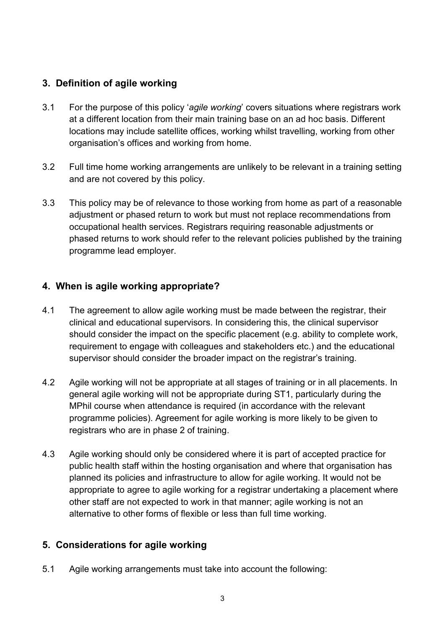## **3. Definition of agile working**

- 3.1 For the purpose of this policy '*agile working*' covers situations where registrars work at a different location from their main training base on an ad hoc basis. Different locations may include satellite offices, working whilst travelling, working from other organisation's offices and working from home.
- 3.2 Full time home working arrangements are unlikely to be relevant in a training setting and are not covered by this policy.
- 3.3 This policy may be of relevance to those working from home as part of a reasonable adjustment or phased return to work but must not replace recommendations from occupational health services. Registrars requiring reasonable adjustments or phased returns to work should refer to the relevant policies published by the training programme lead employer.

## **4. When is agile working appropriate?**

- 4.1 The agreement to allow agile working must be made between the registrar, their clinical and educational supervisors. In considering this, the clinical supervisor should consider the impact on the specific placement (e.g. ability to complete work, requirement to engage with colleagues and stakeholders etc.) and the educational supervisor should consider the broader impact on the registrar's training.
- 4.2 Agile working will not be appropriate at all stages of training or in all placements. In general agile working will not be appropriate during ST1, particularly during the MPhil course when attendance is required (in accordance with the relevant programme policies). Agreement for agile working is more likely to be given to registrars who are in phase 2 of training.
- 4.3 Agile working should only be considered where it is part of accepted practice for public health staff within the hosting organisation and where that organisation has planned its policies and infrastructure to allow for agile working. It would not be appropriate to agree to agile working for a registrar undertaking a placement where other staff are not expected to work in that manner; agile working is not an alternative to other forms of flexible or less than full time working.

# **5. Considerations for agile working**

5.1 Agile working arrangements must take into account the following: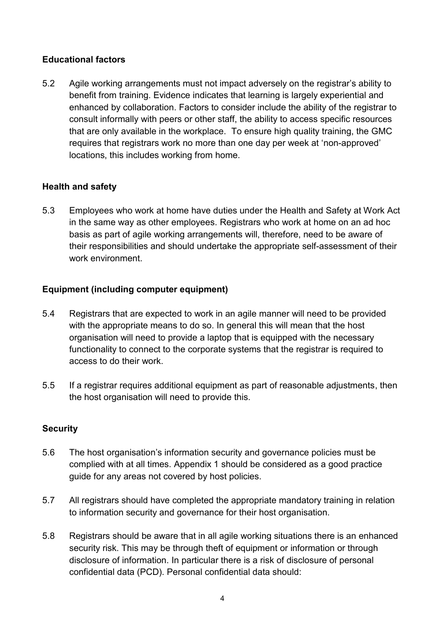## **Educational factors**

5.2 Agile working arrangements must not impact adversely on the registrar's ability to benefit from training. Evidence indicates that learning is largely experiential and enhanced by collaboration. Factors to consider include the ability of the registrar to consult informally with peers or other staff, the ability to access specific resources that are only available in the workplace. To ensure high quality training, the GMC requires that registrars work no more than one day per week at 'non-approved' locations, this includes working from home.

## **Health and safety**

5.3 Employees who work at home have duties under the Health and Safety at Work Act in the same way as other employees. Registrars who work at home on an ad hoc basis as part of agile working arrangements will, therefore, need to be aware of their responsibilities and should undertake the appropriate self-assessment of their work environment.

## **Equipment (including computer equipment)**

- 5.4 Registrars that are expected to work in an agile manner will need to be provided with the appropriate means to do so. In general this will mean that the host organisation will need to provide a laptop that is equipped with the necessary functionality to connect to the corporate systems that the registrar is required to access to do their work.
- 5.5 If a registrar requires additional equipment as part of reasonable adjustments, then the host organisation will need to provide this.

## **Security**

- 5.6 The host organisation's information security and governance policies must be complied with at all times. Appendix 1 should be considered as a good practice guide for any areas not covered by host policies.
- 5.7 All registrars should have completed the appropriate mandatory training in relation to information security and governance for their host organisation.
- 5.8 Registrars should be aware that in all agile working situations there is an enhanced security risk. This may be through theft of equipment or information or through disclosure of information. In particular there is a risk of disclosure of personal confidential data (PCD). Personal confidential data should: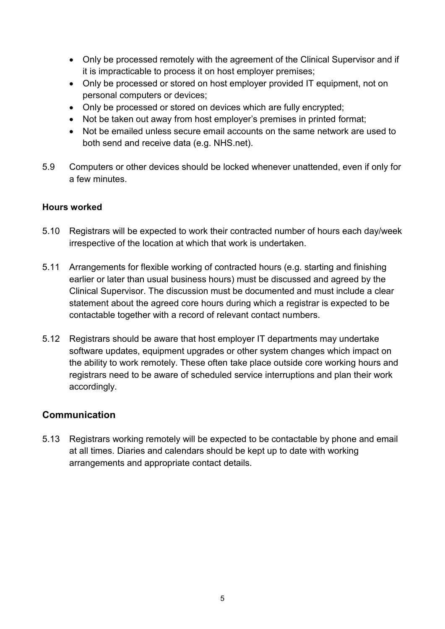- Only be processed remotely with the agreement of the Clinical Supervisor and if it is impracticable to process it on host employer premises;
- Only be processed or stored on host employer provided IT equipment, not on personal computers or devices;
- Only be processed or stored on devices which are fully encrypted;
- Not be taken out away from host employer's premises in printed format;
- Not be emailed unless secure email accounts on the same network are used to both send and receive data (e.g. NHS.net).
- 5.9 Computers or other devices should be locked whenever unattended, even if only for a few minutes.

#### **Hours worked**

- 5.10 Registrars will be expected to work their contracted number of hours each day/week irrespective of the location at which that work is undertaken.
- 5.11 Arrangements for flexible working of contracted hours (e.g. starting and finishing earlier or later than usual business hours) must be discussed and agreed by the Clinical Supervisor. The discussion must be documented and must include a clear statement about the agreed core hours during which a registrar is expected to be contactable together with a record of relevant contact numbers.
- 5.12 Registrars should be aware that host employer IT departments may undertake software updates, equipment upgrades or other system changes which impact on the ability to work remotely. These often take place outside core working hours and registrars need to be aware of scheduled service interruptions and plan their work accordingly.

## **Communication**

5.13 Registrars working remotely will be expected to be contactable by phone and email at all times. Diaries and calendars should be kept up to date with working arrangements and appropriate contact details.